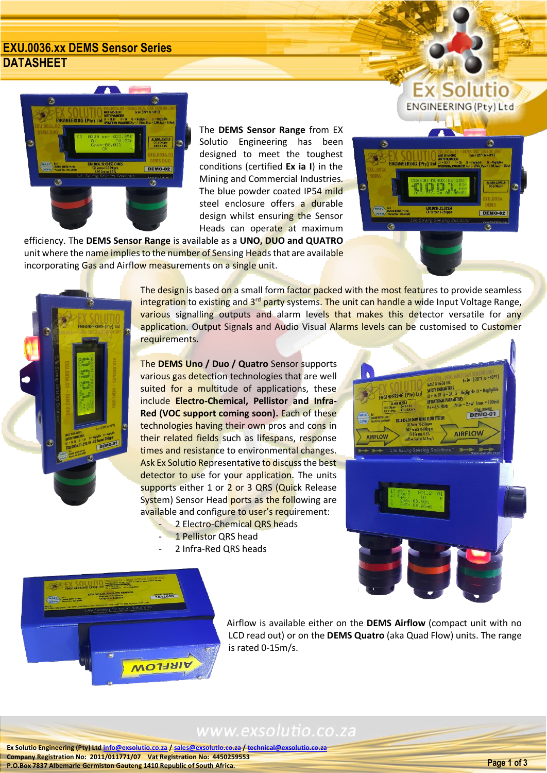### **EXU.0036.xx DEMS Sensor Series DATASHEET**



The **DEMS Sensor Range** from EX Solutio Engineering has been designed to meet the toughest conditions (certified **Ex ia I**) in the Mining and Commercial Industries. The blue powder coated IP54 mild steel enclosure offers a durable design whilst ensuring the Sensor Heads can operate at maximum

efficiency. The **DEMS Sensor Range** is available as a **UNO, DUO and QUATRO** unit where the name implies to the number of Sensing Heads that are available incorporating Gas and Airflow measurements on a single unit.



**Ex Solutio ENGINEERING (Pty) Ltd** 



The design is based on a small form factor packed with the most features to provide seamless integration to existing and 3<sup>rd</sup> party systems. The unit can handle a wide Input Voltage Range, various signalling outputs and alarm levels that makes this detector versatile for any application. Output Signals and Audio Visual Alarms levels can be customised to Customer requirements.

The **DEMS Uno / Duo / Quatro** Sensor supports various gas detection technologies that are well suited for a multitude of applications, these include **Electro-Chemical, Pellistor and Infra-Red (VOC support coming soon).** Each of these technologies having their own pros and cons in their related fields such as lifespans, response times and resistance to environmental changes. Ask Ex Solutio Representative to discuss the best detector to use for your application. The units supports either 1 or 2 or 3 QRS (Quick Release System) Sensor Head ports as the following are available and configure to user's requirement:

- 2 Electro-Chemical QRS heads
- 1 Pellistor QRS head
- 2 Infra-Red ORS heads





Airflow is available either on the **DEMS Airflow** (compact unit with no LCD read out) or on the **DEMS Quatro** (aka Quad Flow) units. The range is rated 0-15m/s.

## www.exsolutio.co.za

**Ex Solutio Engineering (Pty) Ltd [info@exsolutio.co.za](mailto:info@exsolutio.co.za) / [sales@exsolutio.co.za](mailto:sales@exsolutio.co.za) / [technical@exsolutio.co.za](mailto:technical@exsolutio.co.za) Company Registration No: 2011/011771/07 Vat Registration No: 4450259553 P.O.Box 7837 Albemarle Germiston Gauteng 1410 Republic of South Africa. Page 1 of 3**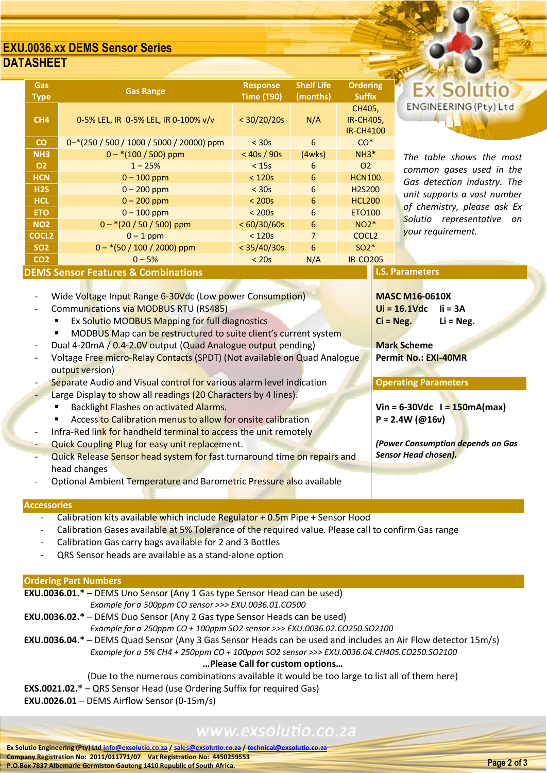### **EXU.0036.xx DEMS Sensor Series DATASHEET**

| <b>Gas</b><br><b>Type</b>                                                | <b>Gas Range</b>                         | <b>Response</b><br><b>Time (T90)</b> | <b>Shelf Life</b><br>(months) | <b>Ordering</b><br><b>Suffix</b>               |                     |
|--------------------------------------------------------------------------|------------------------------------------|--------------------------------------|-------------------------------|------------------------------------------------|---------------------|
| CH <sub>4</sub>                                                          | 0-5% LEL, IR 0-5% LEL, IR 0-100% v/v     | < 30/20/20s                          | N/A                           | CH405,<br><b>IR-CH405,</b><br><b>IR-CH4100</b> | <b>ENGINE</b>       |
| $\mathbf{C}$                                                             | 0-*(250 / 500 / 1000 / 5000 / 20000) ppm | $<$ 30s                              | 6                             | $CO*$                                          |                     |
| NH <sub>3</sub>                                                          | $0 - * (100 / 500)$ ppm                  | < 40s / 90s                          | (4wks)                        | $NH3*$                                         | The tabl            |
| 02                                                                       | $1 - 25%$                                | $<$ 15s                              | 6                             | O <sub>2</sub>                                 | common              |
| <b>HCN</b>                                                               | $0 - 100$ ppm                            | $<$ 120 $s$                          | 6                             | <b>HCN100</b>                                  | Gas dete            |
| H2S                                                                      | $0 - 200$ ppm                            | $<$ 30s                              | 6                             | H <sub>2</sub> S <sub>200</sub>                | unit supp           |
| <b>HCL</b>                                                               | $0 - 200$ ppm                            | $<$ 200s                             | 6                             | <b>HCL200</b>                                  |                     |
| <b>ETO</b>                                                               | $0 - 100$ ppm                            | $<$ 200s                             | 6                             | <b>ETO100</b>                                  | of chemi<br>Solutio |
| <b>NO2</b>                                                               | $0 - * (20 / 50 / 500)$ ppm              | < 60/30/60s                          | 6                             | $NO2*$                                         |                     |
| <b>COCL2</b>                                                             | $0 - 1$ ppm                              | $<$ 120s                             | $\overline{7}$                | COCL <sub>2</sub>                              | your requ           |
| <b>SO2</b>                                                               | $0 - * (50 / 100 / 2000)$ ppm            | < 35/40/30s                          | 6                             | $SO2*$                                         |                     |
| CO <sub>2</sub>                                                          | $0 - 5%$                                 | $<$ 20s                              | N/A                           | <b>IR-CO205</b>                                |                     |
| <b>I.S. Parameters</b><br><b>DEMS Sensor Features &amp; Combinations</b> |                                          |                                      |                               |                                                |                     |

# **Ex Solutio** ENGINEERING (Pty) Ltd

*The table shows the most common gases used in the Gas detection industry. The unit supports a vast number of chemistry, please ask Ex Solutio representative on your requirement.*

**MASC M16-0610X Ui = 16.1Vdc Ii = 3A Ci = Neg. Li = Neg.**

**Mark Scheme** 

**Permit No.: EXI-40MR**

**Operating Parameters**

**P = 2.4W (@16v)**

*Sensor Head chosen).*

**Vin = 6-30Vdc I = 150mA(max)**

*(Power Consumption depends on Gas* 

Wide Voltage Input Range 6-30Vdc (Low power Consumption)

- Communications via MODBUS RTU (RS485)
	- Ex Solutio MODBUS Mapping for full diagnostics
	- **MODBUS Map can be restructured to suite client's current system**
- Dual 4-20mA / 0.4-2.0V output (Quad Analogue output pending)
- Voltage Free micro-Relay Contacts (SPDT) (Not available on Quad Analogue output version)
- Separate Audio and Visual control for various alarm level indication
- Large Display to show all readings (20 Characters by 4 lines).
	- Backlight Flashes on activated Alarms.
	- Access to Calibration menus to allow for onsite calibration
	- Infra-Red link for handheld terminal to access the unit remotely
- Quick Coupling Plug for easy unit replacement.
- Quick Release Sensor head system for fast turnaround time on repairs and head changes
- Optional Ambient Temperature and Barometric Pressure also available

#### **Accessories**

- Calibration kits available which include Regulator + 0.5m Pipe + Sensor Hood
- Calibration Gases available at 5% Tolerance of the required value. Please call to confirm Gas range
- Calibration Gas carry bags available for 2 and 3 Bottles
- QRS Sensor heads are available as a stand-alone option

#### **Ordering Part Numbers**

| <b>EXU.0036.01.*</b> – DEMS Uno Sensor (Any 1 Gas type Sensor Head can be used)                                          |
|--------------------------------------------------------------------------------------------------------------------------|
| Example for a 500ppm CO sensor >>> EXU.0036.01.CO500                                                                     |
| <b>EXU.0036.02.*</b> - DEMS Duo Sensor (Any 2 Gas type Sensor Heads can be used)                                         |
| Example for a 250ppm CO + 100ppm SO2 sensor >>> EXU.0036.02.CO250.SO2100                                                 |
| <b>EXU.0036.04.</b> * – DEMS Quad Sensor (Any 3 Gas Sensor Heads can be used and includes an Air Flow detector $15m/s$ ) |
| Example for a 5% CH4 + 250ppm CO + 100ppm SO2 sensor >>> EXU.0036.04.CH405.CO250.SO2100                                  |
| Please Call for custom options                                                                                           |
| (Due to the numerous combinations available it would be too large to list all of them here)                              |

- 
- **EXS.0021.02.\*** QRS Sensor Head (use Ordering Suffix for required Gas)
- **EXU.0026.01** DEMS Airflow Sensor (0-15m/s)

# www.exsolutio.co.za

**Ex Solutio Engineering (Pty) Ltd [info@exsolutio.co.za](mailto:info@exsolutio.co.za) / [sales@exsolutio.co.za](mailto:sales@exsolutio.co.za) / [technical@exsolutio.co.za](mailto:technical@exsolutio.co.za) Company Registration No: 2011/011771/07 Vat Registration No: 4450259553 P.O.Box 7837 Albemarle Germiston Gauteng 1410 Republic of South Africa. Page 2 of 3**